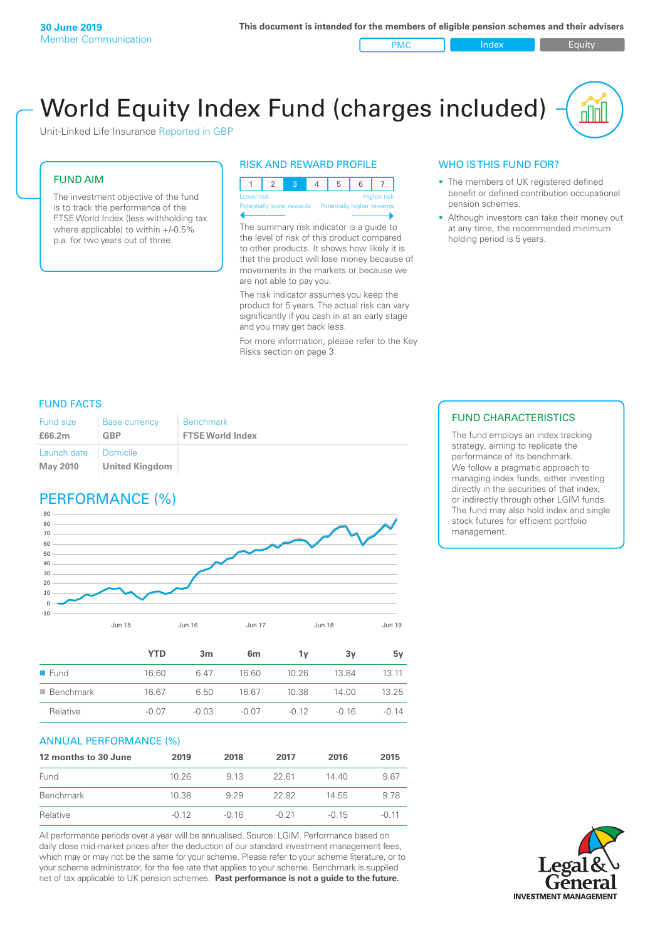PMC Index Index Equity

# World Equity Index Fund (charges included)

Unit-Linked Life Insurance Reported in GBP

#### FUND AIM

The investment objective of the fund is to track the performance of the FTSE World Index (less withholding tax where applicable) to within +/-0.5% p.a. for two years out of three.

#### RISK AND REWARD PROFILE



The summary risk indicator is a guide to the level of risk of this product compared to other products. It shows how likely it is that the product will lose money because of movements in the markets or because we are not able to pay you.

The risk indicator assumes you keep the product for 5 years. The actual risk can vary significantly if you cash in at an early stage and you may get back less.

For more information, please refer to the Key Risks section on page 3.

### WHO IS THIS FUND FOR?

- The members of UK registered defined benefit or defined contribution occupational pension schemes.
- Although investors can take their money out at any time, the recommended minimum holding period is 5 years.

#### FUND FACTS

| Fund size                      | <b>Base currency</b>                | <b>Benchmark</b>        |
|--------------------------------|-------------------------------------|-------------------------|
| £66.2m                         | <b>GBP</b>                          | <b>FTSE World Index</b> |
| Launch date<br><b>May 2010</b> | I Domicile<br><b>United Kingdom</b> |                         |

## PERFORMANCE (%)



|                          | <b>YTD</b> | 3 <sub>m</sub> | 6 <sub>m</sub> | 1v      | 3v      | 5۷      |
|--------------------------|------------|----------------|----------------|---------|---------|---------|
| $\blacksquare$ Fund      | 16.60      | 6.47           | 16.60          | 10.26   | 1384    | 13.11   |
| $\blacksquare$ Benchmark | 16.67      | 6.50           | 16.67          | 10.38   | 14.00   | 13.25   |
| Relative                 | $-0.07$    | $-0.03$        | -0.07          | $-0.12$ | $-0.16$ | $-0.14$ |

#### ANNUAL PERFORMANCE (%)

| 12 months to 30 June | 2019    | 2018    | 2017    | 2016    | 2015    |
|----------------------|---------|---------|---------|---------|---------|
| Fund                 | 10.26   | 913     | 22.61   | 14 40   | 9.67    |
| Benchmark            | 10.38   | 9 29    | 22.82   | 14.55   | 9.78    |
| Relative             | $-0.12$ | $-0.16$ | $-0.21$ | $-0.15$ | $-0.11$ |

All performance periods over a year will be annualised. Source: LGIM. Performance based on daily close mid-market prices after the deduction of our standard investment management fees, which may or may not be the same for your scheme. Please refer to your scheme literature, or to your scheme administrator, for the fee rate that applies to your scheme. Benchmark is supplied net of tax applicable to UK pension schemes. **Past performance is not a guide to the future.**

#### FUND CHARACTERISTICS

The fund employs an index tracking strategy, aiming to replicate the performance of its benchmark. We follow a pragmatic approach to managing index funds, either investing directly in the securities of that index, or indirectly through other LGIM funds. The fund may also hold index and single stock futures for efficient portfolio management.

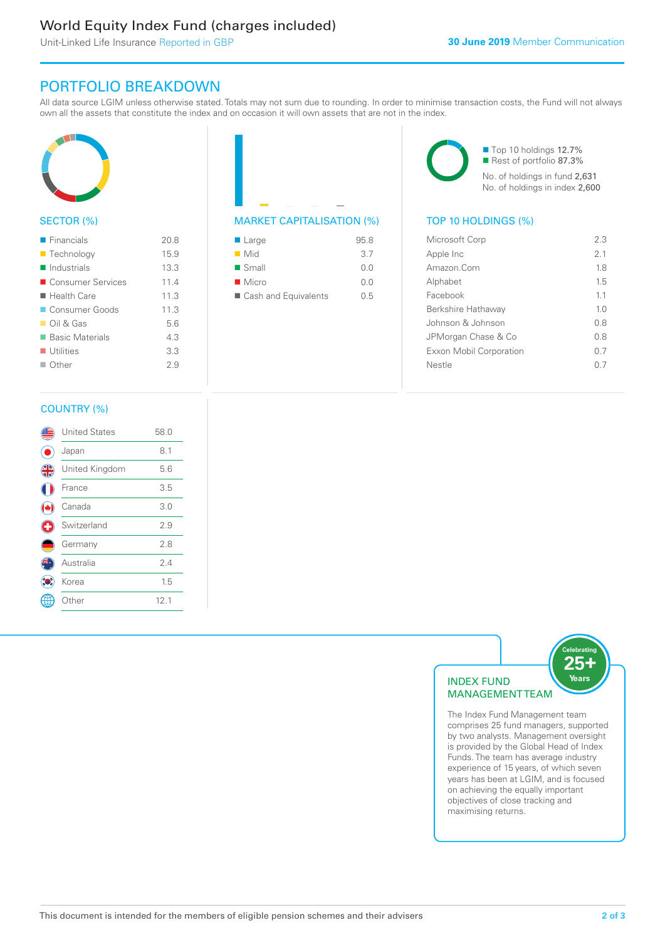# World Equity Index Fund (charges included)

Unit-Linked Life Insurance Reported in GBP

# PORTFOLIO BREAKDOWN

All data source LGIM unless otherwise stated. Totals may not sum due to rounding. In order to minimise transaction costs, the Fund will not always own all the assets that constitute the index and on occasion it will own assets that are not in the index.



#### SECTOR (%)

| $\blacksquare$ Financials  | 20.8 |
|----------------------------|------|
| ■ Technology               | 15.9 |
| $\blacksquare$ Industrials | 13.3 |
| ■ Consumer Services        | 11.4 |
| ■ Health Care              | 11.3 |
| Consumer Goods             | 11.3 |
| $\Box$ Oil & Gas           | 5.6  |
| ■ Basic Materials          | 4.3  |
| $\blacksquare$ Utilities   | 3.3  |
| $\Box$ Other               | 2.9  |
|                            |      |



| $\blacksquare$ Large   | 95.8 |
|------------------------|------|
| $\blacksquare$ Mid     | 3.7  |
| $\blacksquare$ Small   | 0.0  |
| $\blacksquare$ Micro   | 0.0  |
| ■ Cash and Equivalents | 0.5  |

■ Top 10 holdings 12.7% Rest of portfolio 87.3% No. of holdings in fund 2,631 No. of holdings in index 2,600

| Microsoft Corp          | 23             |
|-------------------------|----------------|
| Apple Inc               | 2.1            |
| Amazon.Com              | 18             |
| Alphabet                | 15             |
| Facebook                | 11             |
| Berkshire Hathaway      | 1 <sub>0</sub> |
| Johnson & Johnson       | 0 S            |
| JPMorgan Chase & Co     | 08             |
| Exxon Mobil Corporation | 0 7            |
| Nestle                  | ()             |
|                         |                |

### COUNTRY (%)

|   | <b>United States</b> | 58.0 |  |
|---|----------------------|------|--|
|   | Japan                | 8.1  |  |
| 4 | United Kingdom       | 5.6  |  |
|   | France               | 3.5  |  |
|   | Canada               | 3.0  |  |
| C | Switzerland          | 2.9  |  |
|   | Germany              | 2.8  |  |
|   | Australia            | 2.4  |  |
|   | Korea                | 1.5  |  |
|   | : Other              | 12.1 |  |
|   |                      |      |  |



The Index Fund Management team comprises 25 fund managers, supported by two analysts. Management oversight is provided by the Global Head of Index Funds. The team has average industry experience of 15 years, of which seven years has been at LGIM, and is focused on achieving the equally important objectives of close tracking and maximising returns.